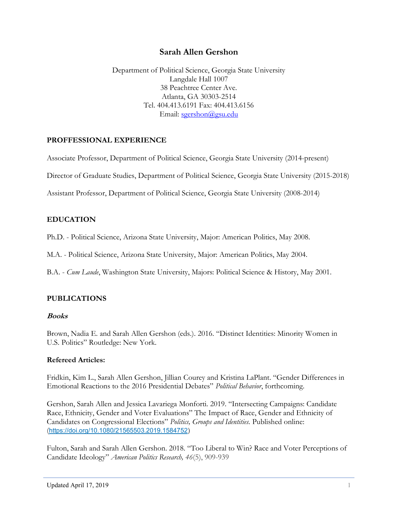# Sarah Allen Gershon

Department of Political Science, Georgia State University Langdale Hall 1007 38 Peachtree Center Ave. Atlanta, GA 30303-2514 Tel. 404.413.6191 Fax: 404.413.6156 Email: sgershon@gsu.edu

### PROFFESSIONAL EXPERIENCE

Associate Professor, Department of Political Science, Georgia State University (2014-present)

Director of Graduate Studies, Department of Political Science, Georgia State University (2015-2018)

Assistant Professor, Department of Political Science, Georgia State University (2008-2014)

### EDUCATION

Ph.D. - Political Science, Arizona State University, Major: American Politics, May 2008.

M.A. - Political Science, Arizona State University, Major: American Politics, May 2004.

B.A. - Cum Laude, Washington State University, Majors: Political Science & History, May 2001.

## PUBLICATIONS

### Books

Brown, Nadia E. and Sarah Allen Gershon (eds.). 2016. "Distinct Identities: Minority Women in U.S. Politics" Routledge: New York.

### Refereed Articles:

Fridkin, Kim L., Sarah Allen Gershon, Jillian Courey and Kristina LaPlant. "Gender Differences in Emotional Reactions to the 2016 Presidential Debates" Political Behavior, forthcoming.

Gershon, Sarah Allen and Jessica Lavariega Monforti. 2019. "Intersecting Campaigns: Candidate Race, Ethnicity, Gender and Voter Evaluations" The Impact of Race, Gender and Ethnicity of Candidates on Congressional Elections" Politics, Groups and Identities. Published online: (https://doi.org/10.1080/21565503.2019.1584752)

Fulton, Sarah and Sarah Allen Gershon. 2018. "Too Liberal to Win? Race and Voter Perceptions of Candidate Ideology" American Politics Research, 46(5), 909-939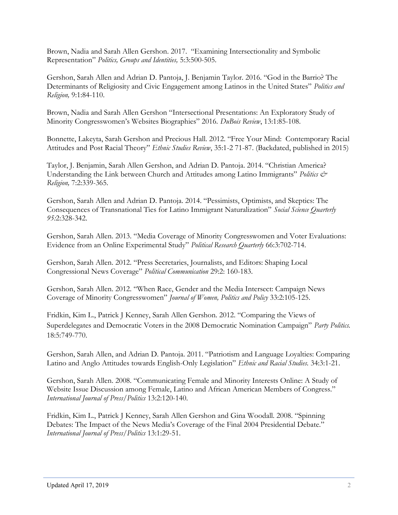Brown, Nadia and Sarah Allen Gershon. 2017. "Examining Intersectionality and Symbolic Representation" Politics, Groups and Identities, 5:3:500-505.

Gershon, Sarah Allen and Adrian D. Pantoja, J. Benjamin Taylor. 2016. "God in the Barrio? The Determinants of Religiosity and Civic Engagement among Latinos in the United States" Politics and Religion, 9:1:84-110.

Brown, Nadia and Sarah Allen Gershon "Intersectional Presentations: An Exploratory Study of Minority Congresswomen's Websites Biographies" 2016. DuBois Review, 13:1:85-108.

Bonnette, Lakeyta, Sarah Gershon and Precious Hall. 2012. "Free Your Mind: Contemporary Racial Attitudes and Post Racial Theory" Ethnic Studies Review, 35:1-2 71-87. (Backdated, published in 2015)

Taylor, J. Benjamin, Sarah Allen Gershon, and Adrian D. Pantoja. 2014. "Christian America? Understanding the Link between Church and Attitudes among Latino Immigrants" Politics  $\mathcal{O}$ Religion, 7:2:339-365.

Gershon, Sarah Allen and Adrian D. Pantoja. 2014. "Pessimists, Optimists, and Skeptics: The Consequences of Transnational Ties for Latino Immigrant Naturalization" Social Science Quarterly 95:2:328-342.

Gershon, Sarah Allen. 2013. "Media Coverage of Minority Congresswomen and Voter Evaluations: Evidence from an Online Experimental Study" Political Research Quarterly 66:3:702-714.

Gershon, Sarah Allen. 2012. "Press Secretaries, Journalists, and Editors: Shaping Local Congressional News Coverage" Political Communication 29:2: 160-183.

Gershon, Sarah Allen. 2012. "When Race, Gender and the Media Intersect: Campaign News Coverage of Minority Congresswomen" Journal of Women, Politics and Policy 33:2:105-125.

Fridkin, Kim L., Patrick J Kenney, Sarah Allen Gershon. 2012. "Comparing the Views of Superdelegates and Democratic Voters in the 2008 Democratic Nomination Campaign" Party Politics. 18:5:749-770.

Gershon, Sarah Allen, and Adrian D. Pantoja. 2011. "Patriotism and Language Loyalties: Comparing Latino and Anglo Attitudes towards English-Only Legislation" Ethnic and Racial Studies. 34:3:1-21.

Gershon, Sarah Allen. 2008. "Communicating Female and Minority Interests Online: A Study of Website Issue Discussion among Female, Latino and African American Members of Congress." International Journal of Press/Politics 13:2:120-140.

Fridkin, Kim L., Patrick J Kenney, Sarah Allen Gershon and Gina Woodall. 2008. "Spinning Debates: The Impact of the News Media's Coverage of the Final 2004 Presidential Debate." International Journal of Press/Politics 13:1:29-51.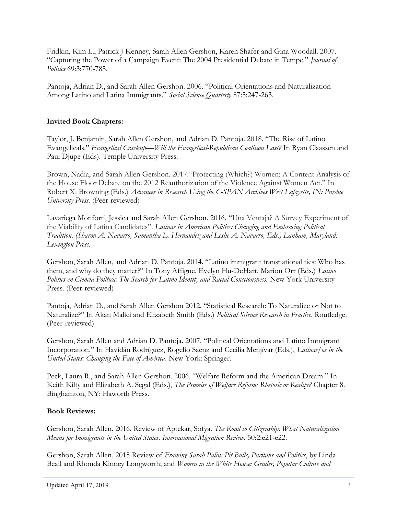Fridkin, Kim L., Patrick J Kenney, Sarah Allen Gershon, Karen Shafer and Gina Woodall. 2007. "Capturing the Power of a Campaign Event: The 2004 Presidential Debate in Tempe." Journal of Politics 69:3:770-785.

Pantoja, Adrian D., and Sarah Allen Gershon. 2006. "Political Orientations and Naturalization Among Latino and Latina Immigrants." Social Science Quarterly 87:5:247-263.

# Invited Book Chapters:

Taylor, J. Benjamin, Sarah Allen Gershon, and Adrian D. Pantoja. 2018. "The Rise of Latino Evangelicals." Evangelical Crackup—Will the Evangelical-Republican Coalition Last? In Ryan Claassen and Paul Djupe (Eds). Temple University Press.

Brown, Nadia, and Sarah Allen Gershon. 2017."Protecting (Which?) Women: A Content Analysis of the House Floor Debate on the 2012 Reauthorization of the Violence Against Women Act." In Robert X. Browning (Eds.) Advances in Research Using the C-SPAN Archives West Lafayette, IN: Purdue University Press. (Peer-reviewed)

Lavariega Monforti, Jessica and Sarah Allen Gershon. 2016. "Una Ventaja? A Survey Experiment of the Viability of Latina Candidates". Latinas in American Politics: Changing and Embracing Political Tradition. (Sharon A. Navarro, Samantha L. Hernandez and Leslie A. Navarro, Eds.) Lanham, Maryland: Lexington Press.

Gershon, Sarah Allen, and Adrian D. Pantoja. 2014. "Latino immigrant transnational ties: Who has them, and why do they matter?" In Tony Affigne, Evelyn Hu-DeHart, Marion Orr (Eds.) Latino Politics en Ciencia Política: The Search for Latino Identity and Racial Consciousness. New York University Press. (Peer-reviewed)

Pantoja, Adrian D., and Sarah Allen Gershon 2012. "Statistical Research: To Naturalize or Not to Naturalize?" In Akan Malici and Elizabeth Smith (Eds.) Political Science Research in Practice. Routledge. (Peer-reviewed)

Gershon, Sarah Allen and Adrian D. Pantoja. 2007. "Political Orientations and Latino Immigrant Incorporation." In Havidán Rodríguez, Rogelio Saenz and Cecilia Menjívar (Eds.), Latinas/os in the United States: Changing the Face of América. New York: Springer.

Peck, Laura R., and Sarah Allen Gershon. 2006. "Welfare Reform and the American Dream." In Keith Kilty and Elizabeth A. Segal (Eds.), The Promise of Welfare Reform: Rhetoric or Reality? Chapter 8. Binghamton, NY: Haworth Press.

## Book Reviews:

Gershon, Sarah Allen. 2016. Review of Aptekar, Sofya. The Road to Citizenship: What Naturalization Means for Immigrants in the United States. International Migration Review. 50:2:e21-e22.

Gershon, Sarah Allen. 2015 Review of Framing Sarah Palin: Pit Bulls, Puritans and Politics, by Linda Beail and Rhonda Kinney Longworth; and Women in the White House: Gender, Popular Culture and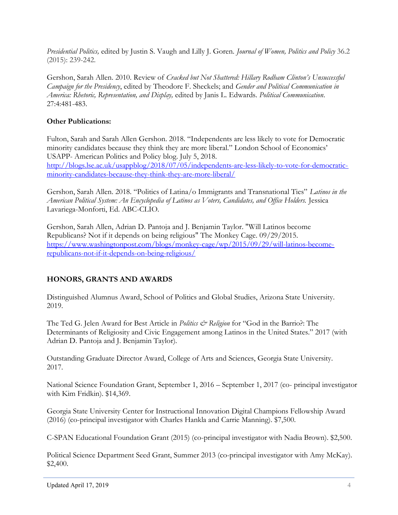Presidential Politics, edited by Justin S. Vaugh and Lilly J. Goren. Journal of Women, Politics and Policy 36.2 (2015): 239-242.

Gershon, Sarah Allen. 2010. Review of Cracked but Not Shattered: Hillary Rodham Clinton's Unsuccessful Campaign for the Presidency, edited by Theodore F. Sheckels; and Gender and Political Communication in America: Rhetoric, Representation, and Display, edited by Janis L. Edwards. Political Communication. 27:4:481-483.

# Other Publications:

Fulton, Sarah and Sarah Allen Gershon. 2018. "Independents are less likely to vote for Democratic minority candidates because they think they are more liberal." London School of Economics' USAPP- American Politics and Policy blog. July 5, 2018. http://blogs.lse.ac.uk/usappblog/2018/07/05/independents-are-less-likely-to-vote-for-democraticminority-candidates-because-they-think-they-are-more-liberal/

Gershon, Sarah Allen. 2018. "Politics of Latina/o Immigrants and Transnational Ties" Latinos in the American Political System: An Encyclopedia of Latinos as Voters, Candidates, and Office Holders. Jessica Lavariega-Monforti, Ed. ABC-CLIO.

Gershon, Sarah Allen, Adrian D. Pantoja and J. Benjamin Taylor. "Will Latinos become Republicans? Not if it depends on being religious" The Monkey Cage. 09/29/2015. https://www.washingtonpost.com/blogs/monkey-cage/wp/2015/09/29/will-latinos-becomerepublicans-not-if-it-depends-on-being-religious/

# HONORS, GRANTS AND AWARDS

Distinguished Alumnus Award, School of Politics and Global Studies, Arizona State University. 2019.

The Ted G. Jelen Award for Best Article in *Politics & Religion* for "God in the Barrio?: The Determinants of Religiosity and Civic Engagement among Latinos in the United States." 2017 (with Adrian D. Pantoja and J. Benjamin Taylor).

Outstanding Graduate Director Award, College of Arts and Sciences, Georgia State University. 2017.

National Science Foundation Grant, September 1, 2016 – September 1, 2017 (co- principal investigator with Kim Fridkin). \$14,369.

Georgia State University Center for Instructional Innovation Digital Champions Fellowship Award (2016) (co-principal investigator with Charles Hankla and Carrie Manning). \$7,500.

C-SPAN Educational Foundation Grant (2015) (co-principal investigator with Nadia Brown). \$2,500.

Political Science Department Seed Grant, Summer 2013 (co-principal investigator with Amy McKay). \$2,400.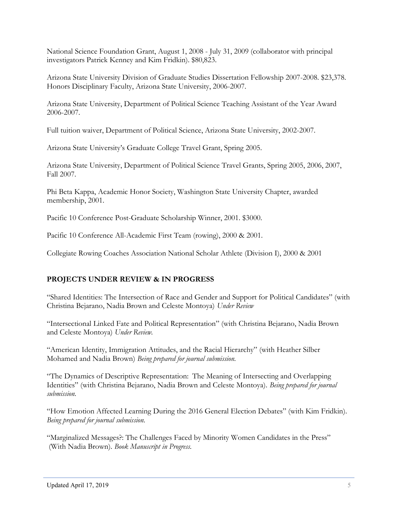National Science Foundation Grant, August 1, 2008 - July 31, 2009 (collaborator with principal investigators Patrick Kenney and Kim Fridkin). \$80,823.

Arizona State University Division of Graduate Studies Dissertation Fellowship 2007-2008. \$23,378. Honors Disciplinary Faculty, Arizona State University, 2006-2007.

Arizona State University, Department of Political Science Teaching Assistant of the Year Award 2006-2007.

Full tuition waiver, Department of Political Science, Arizona State University, 2002-2007.

Arizona State University's Graduate College Travel Grant, Spring 2005.

Arizona State University, Department of Political Science Travel Grants, Spring 2005, 2006, 2007, Fall 2007.

Phi Beta Kappa, Academic Honor Society, Washington State University Chapter, awarded membership, 2001.

Pacific 10 Conference Post-Graduate Scholarship Winner, 2001. \$3000.

Pacific 10 Conference All-Academic First Team (rowing), 2000 & 2001.

Collegiate Rowing Coaches Association National Scholar Athlete (Division I), 2000 & 2001

## PROJECTS UNDER REVIEW & IN PROGRESS

"Shared Identities: The Intersection of Race and Gender and Support for Political Candidates" (with Christina Bejarano, Nadia Brown and Celeste Montoya) Under Review

"Intersectional Linked Fate and Political Representation" (with Christina Bejarano, Nadia Brown and Celeste Montoya) Under Review.

"American Identity, Immigration Attitudes, and the Racial Hierarchy" (with Heather Silber Mohamed and Nadia Brown) Being prepared for journal submission.

"The Dynamics of Descriptive Representation: The Meaning of Intersecting and Overlapping Identities" (with Christina Bejarano, Nadia Brown and Celeste Montoya). Being prepared for journal submission.

"How Emotion Affected Learning During the 2016 General Election Debates" (with Kim Fridkin). Being prepared for journal submission.

"Marginalized Messages?: The Challenges Faced by Minority Women Candidates in the Press" (With Nadia Brown). Book Manuscript in Progress.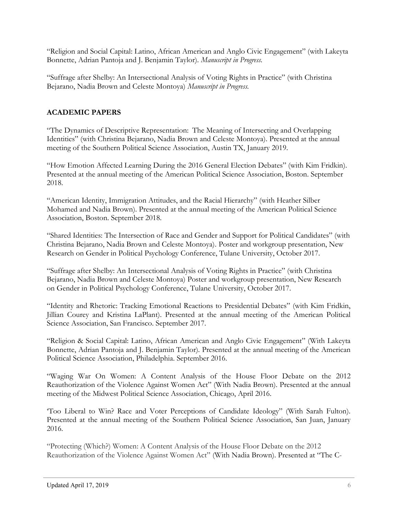"Religion and Social Capital: Latino, African American and Anglo Civic Engagement" (with Lakeyta Bonnette, Adrian Pantoja and J. Benjamin Taylor). Manuscript in Progress.

"Suffrage after Shelby: An Intersectional Analysis of Voting Rights in Practice" (with Christina Bejarano, Nadia Brown and Celeste Montoya) Manuscript in Progress.

# ACADEMIC PAPERS

"The Dynamics of Descriptive Representation: The Meaning of Intersecting and Overlapping Identities" (with Christina Bejarano, Nadia Brown and Celeste Montoya). Presented at the annual meeting of the Southern Political Science Association, Austin TX, January 2019.

"How Emotion Affected Learning During the 2016 General Election Debates" (with Kim Fridkin). Presented at the annual meeting of the American Political Science Association, Boston. September 2018.

"American Identity, Immigration Attitudes, and the Racial Hierarchy" (with Heather Silber Mohamed and Nadia Brown). Presented at the annual meeting of the American Political Science Association, Boston. September 2018.

"Shared Identities: The Intersection of Race and Gender and Support for Political Candidates" (with Christina Bejarano, Nadia Brown and Celeste Montoya). Poster and workgroup presentation, New Research on Gender in Political Psychology Conference, Tulane University, October 2017.

"Suffrage after Shelby: An Intersectional Analysis of Voting Rights in Practice" (with Christina Bejarano, Nadia Brown and Celeste Montoya) Poster and workgroup presentation, New Research on Gender in Political Psychology Conference, Tulane University, October 2017.

"Identity and Rhetoric: Tracking Emotional Reactions to Presidential Debates" (with Kim Fridkin, Jillian Courey and Kristina LaPlant). Presented at the annual meeting of the American Political Science Association, San Francisco. September 2017.

"Religion & Social Capital: Latino, African American and Anglo Civic Engagement" (With Lakeyta Bonnette, Adrian Pantoja and J. Benjamin Taylor). Presented at the annual meeting of the American Political Science Association, Philadelphia. September 2016.

"Waging War On Women: A Content Analysis of the House Floor Debate on the 2012 Reauthorization of the Violence Against Women Act" (With Nadia Brown). Presented at the annual meeting of the Midwest Political Science Association, Chicago, April 2016.

'Too Liberal to Win? Race and Voter Perceptions of Candidate Ideology" (With Sarah Fulton). Presented at the annual meeting of the Southern Political Science Association, San Juan, January 2016.

"Protecting (Which?) Women: A Content Analysis of the House Floor Debate on the 2012 Reauthorization of the Violence Against Women Act" (With Nadia Brown). Presented at "The C-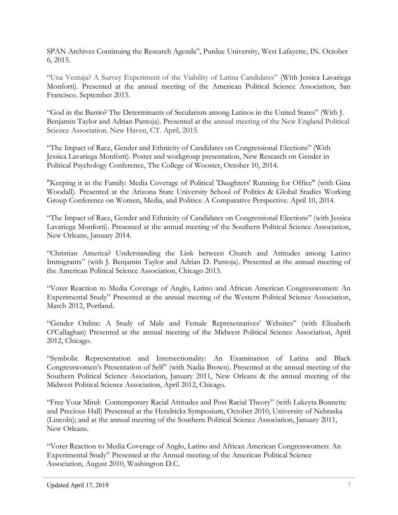SPAN Archives Continuing the Research Agenda", Purdue University, West Lafayette, IN. October 6, 2015.

"Una Ventaja? A Survey Experiment of the Viability of Latina Candidates" (With Jessica Lavariega Monforti). Presented at the annual meeting of the American Political Science Association, San Francisco. September 2015.

"God in the Barrio? The Determinants of Secularism among Latinos in the United States" (With J. Benjamin Taylor and Adrian Pantoja). Presented at the annual meeting of the New England Political Science Association. New Haven, CT. April, 2015.

"The Impact of Race, Gender and Ethnicity of Candidates on Congressional Elections" (With Jessica Lavariega Monforti). Poster and workgroup presentation, New Research on Gender in Political Psychology Conference, The College of Wooster, October 10, 2014.

"Keeping it in the Family: Media Coverage of Political 'Daughters' Running for Office" (with Gina Woodall). Presented at the Arizona State University School of Politics & Global Studies Working Group Conference on Women, Media, and Politics: A Comparative Perspective. April 10, 2014.

"The Impact of Race, Gender and Ethnicity of Candidates on Congressional Elections" (with Jessica Lavariega Monforti). Presented at the annual meeting of the Southern Political Science Association, New Orleans, January 2014.

"Christian America? Understanding the Link between Church and Attitudes among Latino Immigrants" (with J. Benjamin Taylor and Adrian D. Pantoja). Presented at the annual meeting of the American Political Science Association, Chicago 2013.

"Voter Reaction to Media Coverage of Anglo, Latino and African American Congresswomen: An Experimental Study" Presented at the annual meeting of the Western Political Science Association, March 2012, Portland.

"Gender Online: A Study of Male and Female Representatives' Websites" (with Elizabeth O'Callaghan) Presented at the annual meeting of the Midwest Political Science Association, April 2012, Chicago.

"Symbolic Representation and Intersectionality: An Examination of Latina and Black Congresswomen's Presentation of Self" (with Nadia Brown). Presented at the annual meeting of the Southern Political Science Association, January 2011, New Orleans & the annual meeting of the Midwest Political Science Association, April 2012, Chicago.

"Free Your Mind: Contemporary Racial Attitudes and Post Racial Theory" (with Lakeyta Bonnette and Precious Hall) Presented at the Hendricks Symposium, October 2010, University of Nebraska (Lincoln); and at the annual meeting of the Southern Political Science Association, January 2011, New Orleans.

"Voter Reaction to Media Coverage of Anglo, Latino and African American Congresswomen: An Experimental Study" Presented at the Annual meeting of the American Political Science Association, August 2010, Washington D.C.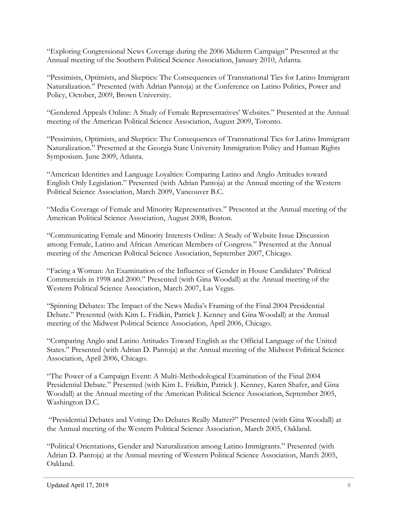"Exploring Congressional News Coverage during the 2006 Midterm Campaign" Presented at the Annual meeting of the Southern Political Science Association, January 2010, Atlanta.

"Pessimists, Optimists, and Skeptics: The Consequences of Transnational Ties for Latino Immigrant Naturalization." Presented (with Adrian Pantoja) at the Conference on Latino Politics, Power and Policy, October, 2009, Brown University.

"Gendered Appeals Online: A Study of Female Representatives' Websites." Presented at the Annual meeting of the American Political Science Association, August 2009, Toronto.

"Pessimists, Optimists, and Skeptics: The Consequences of Transnational Ties for Latino Immigrant Naturalization." Presented at the Georgia State University Immigration Policy and Human Rights Symposium. June 2009, Atlanta.

"American Identities and Language Loyalties: Comparing Latino and Anglo Attitudes toward English Only Legislation." Presented (with Adrian Pantoja) at the Annual meeting of the Western Political Science Association, March 2009, Vancouver B.C.

"Media Coverage of Female and Minority Representatives." Presented at the Annual meeting of the American Political Science Association, August 2008, Boston.

"Communicating Female and Minority Interests Online: A Study of Website Issue Discussion among Female, Latino and African American Members of Congress." Presented at the Annual meeting of the American Political Science Association, September 2007, Chicago.

"Facing a Woman: An Examination of the Influence of Gender in House Candidates' Political Commercials in 1998 and 2000." Presented (with Gina Woodall) at the Annual meeting of the Western Political Science Association, March 2007, Las Vegas.

"Spinning Debates: The Impact of the News Media's Framing of the Final 2004 Presidential Debate." Presented (with Kim L. Fridkin, Patrick J. Kenney and Gina Woodall) at the Annual meeting of the Midwest Political Science Association, April 2006, Chicago.

"Comparing Anglo and Latino Attitudes Toward English as the Official Language of the United States." Presented (with Adrian D. Pantoja) at the Annual meeting of the Midwest Political Science Association, April 2006, Chicago.

"The Power of a Campaign Event: A Multi-Methodological Examination of the Final 2004 Presidential Debate." Presented (with Kim L. Fridkin, Patrick J. Kenney, Karen Shafer, and Gina Woodall) at the Annual meeting of the American Political Science Association, September 2005, Washington D.C.

 "Presidential Debates and Voting: Do Debates Really Matter?" Presented (with Gina Woodall) at the Annual meeting of the Western Political Science Association, March 2005, Oakland.

"Political Orientations, Gender and Naturalization among Latino Immigrants." Presented (with Adrian D. Pantoja) at the Annual meeting of Western Political Science Association, March 2005, Oakland.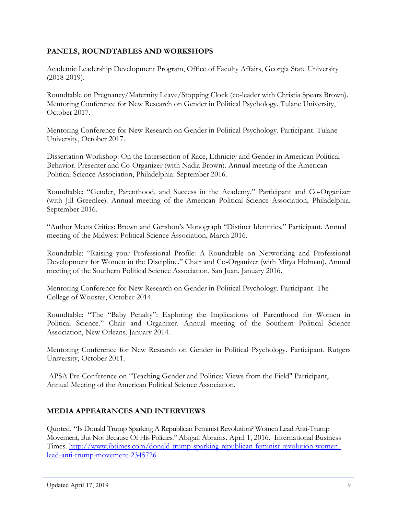# PANELS, ROUNDTABLES AND WORKSHOPS

Academic Leadership Development Program, Office of Faculty Affairs, Georgia State University (2018-2019).

Roundtable on Pregnancy/Maternity Leave/Stopping Clock (co-leader with Christia Spears Brown). Mentoring Conference for New Research on Gender in Political Psychology. Tulane University, October 2017.

Mentoring Conference for New Research on Gender in Political Psychology. Participant. Tulane University, October 2017.

Dissertation Workshop: On the Intersection of Race, Ethnicity and Gender in American Political Behavior. Presenter and Co-Organizer (with Nadia Brown). Annual meeting of the American Political Science Association, Philadelphia. September 2016.

Roundtable: "Gender, Parenthood, and Success in the Academy." Participant and Co-Organizer (with Jill Greenlee). Annual meeting of the American Political Science Association, Philadelphia. September 2016.

"Author Meets Critics: Brown and Gershon's Monograph "Distinct Identities." Participant. Annual meeting of the Midwest Political Science Association, March 2016.

Roundtable: "Raising your Professional Profile: A Roundtable on Networking and Professional Development for Women in the Discipline." Chair and Co-Organizer (with Mirya Holman). Annual meeting of the Southern Political Science Association, San Juan. January 2016.

Mentoring Conference for New Research on Gender in Political Psychology. Participant. The College of Wooster, October 2014.

Roundtable: "The "Baby Penalty": Exploring the Implications of Parenthood for Women in Political Science." Chair and Organizer. Annual meeting of the Southern Political Science Association, New Orleans. January 2014.

Mentoring Conference for New Research on Gender in Political Psychology. Participant. Rutgers University, October 2011.

 APSA Pre-Conference on "Teaching Gender and Politics: Views from the Field" Participant, Annual Meeting of the American Political Science Association.

## MEDIA APPEARANCES AND INTERVIEWS

Quoted. "Is Donald Trump Sparking A Republican Feminist Revolution? Women Lead Anti-Trump Movement, But Not Because Of His Policies." Abigail Abrams. April 1, 2016. International Business Times. http://www.ibtimes.com/donald-trump-sparking-republican-feminist-revolution-womenlead-anti-trump-movement-2345726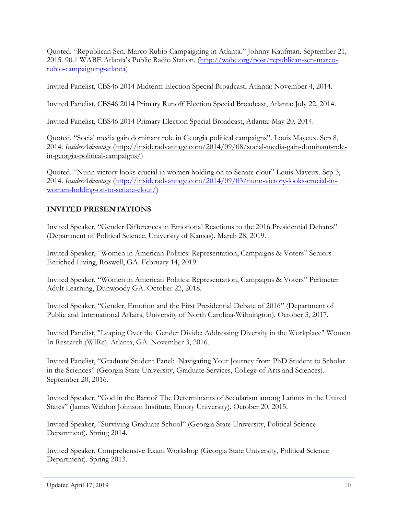Quoted. "Republican Sen. Marco Rubio Campaigning in Atlanta." Johnny Kaufman. September 21, 2015. 90.1 WABE Atlanta's Public Radio Station. (http://wabe.org/post/republican-sen-marcorubio-campaigning-atlanta)

Invited Panelist, CBS46 2014 Midterm Election Special Broadcast, Atlanta: November 4, 2014.

Invited Panelist, CBS46 2014 Primary Runoff Election Special Broadcast, Atlanta: July 22, 2014.

Invited Panelist, CBS46 2014 Primary Election Special Broadcast, Atlanta: May 20, 2014.

Quoted. "Social media gain dominant role in Georgia political campaigns". Louis Mayeux. Sep 8, 2014. InsiderAdvantage (http://insideradvantage.com/2014/09/08/social-media-gain-dominant-rolein-georgia-political-campaigns/)

Quoted. "Nunn victory looks crucial in women holding on to Senate clout" Louis Mayeux. Sep 3, 2014. InsiderAdvantage (http://insideradvantage.com/2014/09/03/nunn-victory-looks-crucial-inwomen-holding-on-to-senate-clout/)

# INVITED PRESENTATIONS

Invited Speaker, "Gender Differences in Emotional Reactions to the 2016 Presidential Debates" (Department of Political Science, University of Kansas). March 28, 2019.

Invited Speaker, "Women in American Politics: Representation, Campaigns & Voters" Seniors Enriched Living, Roswell, GA. February 14, 2019.

Invited Speaker, "Women in American Politics: Representation, Campaigns & Voters" Perimeter Adult Learning, Dunwoody GA. October 22, 2018.

Invited Speaker, "Gender, Emotion and the First Presidential Debate of 2016" (Department of Public and International Affairs, University of North Carolina-Wilmington). October 3, 2017.

Invited Panelist, "Leaping Over the Gender Divide: Addressing Diversity in the Workplace" Women In Research (WIRe). Atlanta, GA. November 3, 2016.

Invited Panelist, "Graduate Student Panel: Navigating Your Journey from PhD Student to Scholar in the Sciences" (Georgia State University, Graduate Services, College of Arts and Sciences). September 20, 2016.

Invited Speaker, "God in the Barrio? The Determinants of Secularism among Latinos in the United States" (James Weldon Johnson Institute, Emory University). October 20, 2015.

Invited Speaker, "Surviving Graduate School" (Georgia State University, Political Science Department). Spring 2014.

Invited Speaker, Comprehensive Exam Workshop (Georgia State University, Political Science Department). Spring 2013.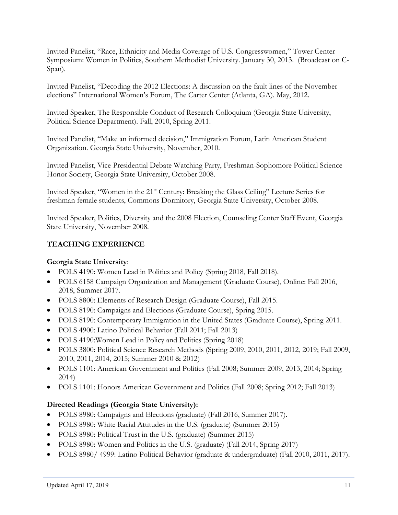Invited Panelist, "Race, Ethnicity and Media Coverage of U.S. Congresswomen," Tower Center Symposium: Women in Politics, Southern Methodist University. January 30, 2013. (Broadcast on C-Span).

Invited Panelist, "Decoding the 2012 Elections: A discussion on the fault lines of the November elections" International Women's Forum, The Carter Center (Atlanta, GA). May, 2012.

Invited Speaker, The Responsible Conduct of Research Colloquium (Georgia State University, Political Science Department). Fall, 2010, Spring 2011.

Invited Panelist, "Make an informed decision," Immigration Forum, Latin American Student Organization. Georgia State University, November, 2010.

Invited Panelist, Vice Presidential Debate Watching Party, Freshman-Sophomore Political Science Honor Society, Georgia State University, October 2008.

Invited Speaker, "Women in the 21<sup>st</sup> Century: Breaking the Glass Ceiling" Lecture Series for freshman female students, Commons Dormitory, Georgia State University, October 2008.

Invited Speaker, Politics, Diversity and the 2008 Election, Counseling Center Staff Event, Georgia State University, November 2008.

# TEACHING EXPERIENCE

## Georgia State University:

- POLS 4190: Women Lead in Politics and Policy (Spring 2018, Fall 2018).
- POLS 6158 Campaign Organization and Management (Graduate Course), Online: Fall 2016, 2018, Summer 2017.
- POLS 8800: Elements of Research Design (Graduate Course), Fall 2015.
- POLS 8190: Campaigns and Elections (Graduate Course), Spring 2015.
- POLS 8190: Contemporary Immigration in the United States (Graduate Course), Spring 2011.
- POLS 4900: Latino Political Behavior (Fall 2011; Fall 2013)
- POLS 4190: Women Lead in Policy and Politics (Spring 2018)
- POLS 3800: Political Science Research Methods (Spring 2009, 2010, 2011, 2012, 2019; Fall 2009, 2010, 2011, 2014, 2015; Summer 2010 & 2012)
- POLS 1101: American Government and Politics (Fall 2008; Summer 2009, 2013, 2014; Spring 2014)
- POLS 1101: Honors American Government and Politics (Fall 2008; Spring 2012; Fall 2013)

## Directed Readings (Georgia State University):

- POLS 8980: Campaigns and Elections (graduate) (Fall 2016, Summer 2017).
- POLS 8980: White Racial Attitudes in the U.S. (graduate) (Summer 2015)
- POLS 8980: Political Trust in the U.S. (graduate) (Summer 2015)
- POLS 8980: Women and Politics in the U.S. (graduate) (Fall 2014, Spring 2017)
- POLS 8980/ 4999: Latino Political Behavior (graduate & undergraduate) (Fall 2010, 2011, 2017).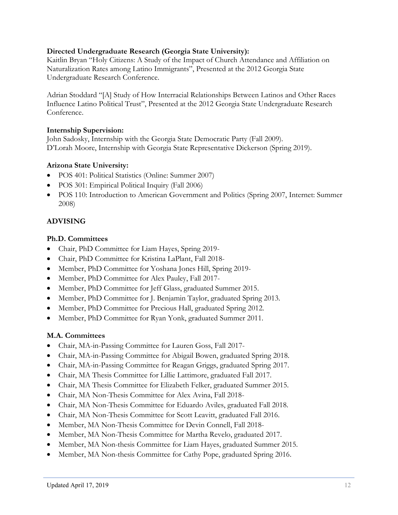### Directed Undergraduate Research (Georgia State University):

Kaitlin Bryan "Holy Citizens: A Study of the Impact of Church Attendance and Affiliation on Naturalization Rates among Latino Immigrants", Presented at the 2012 Georgia State Undergraduate Research Conference.

Adrian Stoddard "[A] Study of How Interracial Relationships Between Latinos and Other Races Influence Latino Political Trust", Presented at the 2012 Georgia State Undergraduate Research Conference.

### Internship Supervision:

John Sadosky, Internship with the Georgia State Democratic Party (Fall 2009). D'Lorah Moore, Internship with Georgia State Representative Dickerson (Spring 2019).

### Arizona State University:

- POS 401: Political Statistics (Online: Summer 2007)
- POS 301: Empirical Political Inquiry (Fall 2006)
- POS 110: Introduction to American Government and Politics (Spring 2007, Internet: Summer 2008)

# ADVISING

### Ph.D. Committees

- Chair, PhD Committee for Liam Hayes, Spring 2019-
- Chair, PhD Committee for Kristina LaPlant, Fall 2018-
- Member, PhD Committee for Yoshana Jones Hill, Spring 2019-
- Member, PhD Committee for Alex Pauley, Fall 2017-
- Member, PhD Committee for Jeff Glass, graduated Summer 2015.
- Member, PhD Committee for J. Benjamin Taylor, graduated Spring 2013.
- Member, PhD Committee for Precious Hall, graduated Spring 2012.
- Member, PhD Committee for Ryan Yonk, graduated Summer 2011.

### M.A. Committees

- Chair, MA-in-Passing Committee for Lauren Goss, Fall 2017-
- Chair, MA-in-Passing Committee for Abigail Bowen, graduated Spring 2018.
- Chair, MA-in-Passing Committee for Reagan Griggs, graduated Spring 2017.
- Chair, MA Thesis Committee for Lillie Lattimore, graduated Fall 2017.
- Chair, MA Thesis Committee for Elizabeth Felker, graduated Summer 2015.
- Chair, MA Non-Thesis Committee for Alex Avina, Fall 2018-
- Chair, MA Non-Thesis Committee for Eduardo Aviles, graduated Fall 2018.
- Chair, MA Non-Thesis Committee for Scott Leavitt, graduated Fall 2016.
- Member, MA Non-Thesis Committee for Devin Connell, Fall 2018-
- Member, MA Non-Thesis Committee for Martha Revelo, graduated 2017.
- Member, MA Non-thesis Committee for Liam Hayes, graduated Summer 2015.
- Member, MA Non-thesis Committee for Cathy Pope, graduated Spring 2016.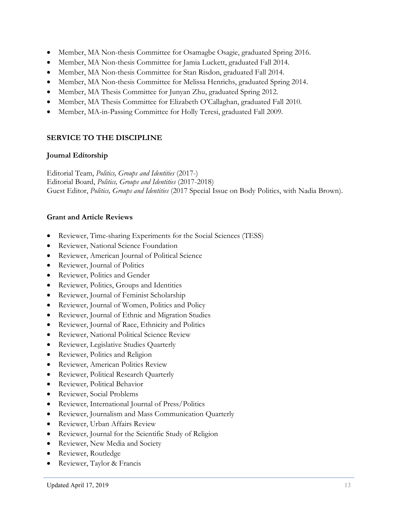- Member, MA Non-thesis Committee for Osamagbe Osagie, graduated Spring 2016.
- Member, MA Non-thesis Committee for Jamia Luckett, graduated Fall 2014.
- Member, MA Non-thesis Committee for Stan Risdon, graduated Fall 2014.
- Member, MA Non-thesis Committee for Melissa Henrichs, graduated Spring 2014.
- Member, MA Thesis Committee for Junyan Zhu, graduated Spring 2012.
- Member, MA Thesis Committee for Elizabeth O'Callaghan, graduated Fall 2010.
- Member, MA-in-Passing Committee for Holly Teresi, graduated Fall 2009.

# SERVICE TO THE DISCIPLINE

## Journal Editorship

Editorial Team, Politics, Groups and Identities (2017-) Editorial Board, Politics, Groups and Identities (2017-2018) Guest Editor, *Politics, Groups and Identities* (2017 Special Issue on Body Politics, with Nadia Brown).

# Grant and Article Reviews

- Reviewer, Time-sharing Experiments for the Social Sciences (TESS)
- Reviewer, National Science Foundation
- Reviewer, American Journal of Political Science
- Reviewer, Journal of Politics
- Reviewer, Politics and Gender
- Reviewer, Politics, Groups and Identities
- Reviewer, Journal of Feminist Scholarship
- Reviewer, Journal of Women, Politics and Policy
- Reviewer, Journal of Ethnic and Migration Studies
- Reviewer, Journal of Race, Ethnicity and Politics
- Reviewer, National Political Science Review
- Reviewer, Legislative Studies Quarterly
- Reviewer, Politics and Religion
- Reviewer, American Politics Review
- Reviewer, Political Research Quarterly
- Reviewer, Political Behavior
- Reviewer, Social Problems
- Reviewer, International Journal of Press/Politics
- Reviewer, Journalism and Mass Communication Quarterly
- Reviewer, Urban Affairs Review
- Reviewer, Journal for the Scientific Study of Religion
- Reviewer, New Media and Society
- Reviewer, Routledge
- Reviewer, Taylor & Francis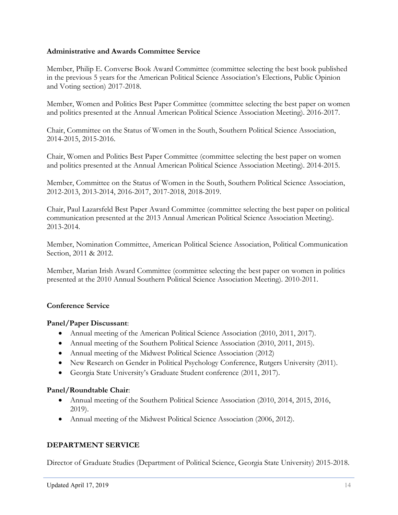### Administrative and Awards Committee Service

Member, Philip E. Converse Book Award Committee (committee selecting the best book published in the previous 5 years for the American Political Science Association's Elections, Public Opinion and Voting section) 2017-2018.

Member, Women and Politics Best Paper Committee (committee selecting the best paper on women and politics presented at the Annual American Political Science Association Meeting). 2016-2017.

Chair, Committee on the Status of Women in the South, Southern Political Science Association, 2014-2015, 2015-2016.

Chair, Women and Politics Best Paper Committee (committee selecting the best paper on women and politics presented at the Annual American Political Science Association Meeting). 2014-2015.

Member, Committee on the Status of Women in the South, Southern Political Science Association, 2012-2013, 2013-2014, 2016-2017, 2017-2018, 2018-2019.

Chair, Paul Lazarsfeld Best Paper Award Committee (committee selecting the best paper on political communication presented at the 2013 Annual American Political Science Association Meeting). 2013-2014.

Member, Nomination Committee, American Political Science Association, Political Communication Section, 2011 & 2012.

Member, Marian Irish Award Committee (committee selecting the best paper on women in politics presented at the 2010 Annual Southern Political Science Association Meeting). 2010-2011.

## Conference Service

### Panel/Paper Discussant:

- Annual meeting of the American Political Science Association (2010, 2011, 2017).
- Annual meeting of the Southern Political Science Association (2010, 2011, 2015).
- Annual meeting of the Midwest Political Science Association (2012)
- New Research on Gender in Political Psychology Conference, Rutgers University (2011).
- Georgia State University's Graduate Student conference (2011, 2017).

### Panel/Roundtable Chair:

- Annual meeting of the Southern Political Science Association (2010, 2014, 2015, 2016, 2019).
- Annual meeting of the Midwest Political Science Association (2006, 2012).

## DEPARTMENT SERVICE

Director of Graduate Studies (Department of Political Science, Georgia State University) 2015-2018.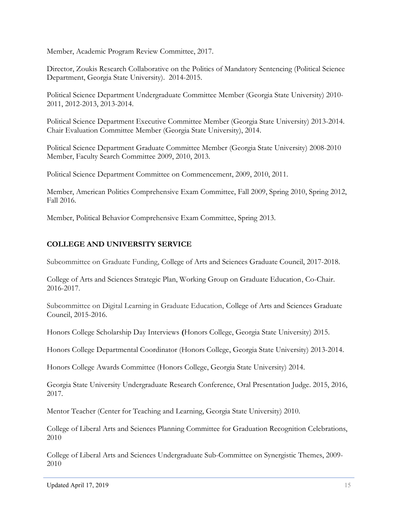Member, Academic Program Review Committee, 2017.

Director, Zoukis Research Collaborative on the Politics of Mandatory Sentencing (Political Science Department, Georgia State University). 2014-2015.

Political Science Department Undergraduate Committee Member (Georgia State University) 2010- 2011, 2012-2013, 2013-2014.

Political Science Department Executive Committee Member (Georgia State University) 2013-2014. Chair Evaluation Committee Member (Georgia State University), 2014.

Political Science Department Graduate Committee Member (Georgia State University) 2008-2010 Member, Faculty Search Committee 2009, 2010, 2013.

Political Science Department Committee on Commencement, 2009, 2010, 2011.

Member, American Politics Comprehensive Exam Committee, Fall 2009, Spring 2010, Spring 2012, Fall 2016.

Member, Political Behavior Comprehensive Exam Committee, Spring 2013.

## COLLEGE AND UNIVERSITY SERVICE

Subcommittee on Graduate Funding, College of Arts and Sciences Graduate Council, 2017-2018.

College of Arts and Sciences Strategic Plan, Working Group on Graduate Education, Co-Chair. 2016-2017.

Subcommittee on Digital Learning in Graduate Education, College of Arts and Sciences Graduate Council, 2015-2016.

Honors College Scholarship Day Interviews (Honors College, Georgia State University) 2015.

Honors College Departmental Coordinator (Honors College, Georgia State University) 2013-2014.

Honors College Awards Committee (Honors College, Georgia State University) 2014.

Georgia State University Undergraduate Research Conference, Oral Presentation Judge. 2015, 2016, 2017.

Mentor Teacher (Center for Teaching and Learning, Georgia State University) 2010.

College of Liberal Arts and Sciences Planning Committee for Graduation Recognition Celebrations, 2010

College of Liberal Arts and Sciences Undergraduate Sub-Committee on Synergistic Themes, 2009- 2010